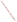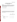## **Questionnaire for Feedback on the Overall Effectiveness of a FACA Committee**  *DFO Assessment*

## *Background*

 $\overline{a}$ 

This questionnaire is designed to obtain a DFO perspective on the overall effectiveness of a FACA committee by examining a FACA committee's outputs. Agency staff will use this information to better understand what is working well and what improvements could be make this FACA process more successful. Thanks in advance for taking time to fill out the questionnaire. We value your input!

| 1. Name of Advisory Committee  |  |
|--------------------------------|--|
|                                |  |
| 2. Goals of Advisory Committee |  |
|                                |  |
|                                |  |

 $\overline{a}$ 3. Over the past 6 months, please describe the key outputs you have received from this advisory committee (e.g., reports, recommendations, minutes, etc.) in the following table and then rate them on the following measures: timeliness, relevance to your agency's needs, quality, and completeness.



c) Quality 1 2 3 4 5 6 7

Output 1:

d) Completeness 1 2 3 4 5 6 7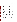

| Output 2:                                                                  |              |                |   |                         |   |   |                |
|----------------------------------------------------------------------------|--------------|----------------|---|-------------------------|---|---|----------------|
| a) Timeliness                                                              | $\mathbf{1}$ | $\overline{2}$ | 3 | $\overline{4}$          | 5 | 6 | $\overline{7}$ |
| b) Relevance to your agency's needs                                        |              | $\overline{2}$ | 3 | 4                       | 5 | 6 | 7              |
| c) Quality                                                                 | 1            | $\overline{2}$ | 3 | 4                       | 5 | 6 | $\overline{7}$ |
| d) Completeness                                                            | 1            | $\overline{2}$ | 3 | 4                       | 5 | 6 | $\overline{7}$ |
| Output 3:                                                                  |              | $\overline{2}$ | 3 | $\overline{4}$          | 5 | 6 | $\overline{7}$ |
| a) Timeliness                                                              | 1            | $\overline{2}$ | 3 | 4                       | 5 | 6 | $\overline{7}$ |
| b) Relevance to your agency's needs                                        |              | $\overline{2}$ | 3 | $\overline{4}$          | 5 | 6 | $\overline{7}$ |
| c) Quality                                                                 | 1            | $\overline{2}$ | 3 | $\overline{4}$          | 5 | 6 | 7              |
| d) Completeness                                                            | 1            | $\overline{2}$ | 3 | $\overline{4}$          | 5 | 6 | $\overline{7}$ |
| Output 4:                                                                  |              |                |   |                         |   |   |                |
| a) Timeliness                                                              | 1            | $\overline{2}$ | 3 | 4                       | 5 | 6 | 7              |
| b) Relevance to your agency's needs                                        | 1            | $\overline{2}$ | 3 | $\overline{4}$          | 5 | 6 | 7              |
| c) Quality                                                                 | 1            | $\overline{2}$ | 3 | $\overline{4}$          | 5 | 6 | $\overline{7}$ |
| Output 5:                                                                  |              | $\overline{2}$ | 3 | $\overline{\mathbf{4}}$ | 5 | 6 | $\overline{7}$ |
| a) Timeliness                                                              | 1            | $\overline{2}$ | 3 | $\overline{\mathbf{4}}$ | 5 | 6 | 7              |
| b) Relevance to your agency's needs                                        | 1            | $\overline{2}$ | 3 | $\overline{\mathbf{4}}$ | 5 | 6 | $\overline{7}$ |
| c) Quality                                                                 | 1            | $\overline{2}$ | 3 | $\overline{4}$          | 5 | 6 | $\overline{7}$ |
| d) Completeness                                                            | 1            | $\overline{2}$ | 3 | 4                       | 5 | 6 | 7              |
| Overall, how satisfied are you with the outputs<br>over the past 6 months? |              | $\overline{2}$ | 3 | 4                       | 5 | 6 | 7              |

4. Do you plan to implement any of the findings of the advisory committee?

\_all (skip to #6) \_\_\_most \_\_\_some \_\_\_a few \_\_\_none

5. If you did not answer "all" in #6, please explain why you do not plan to implement all of the findings: